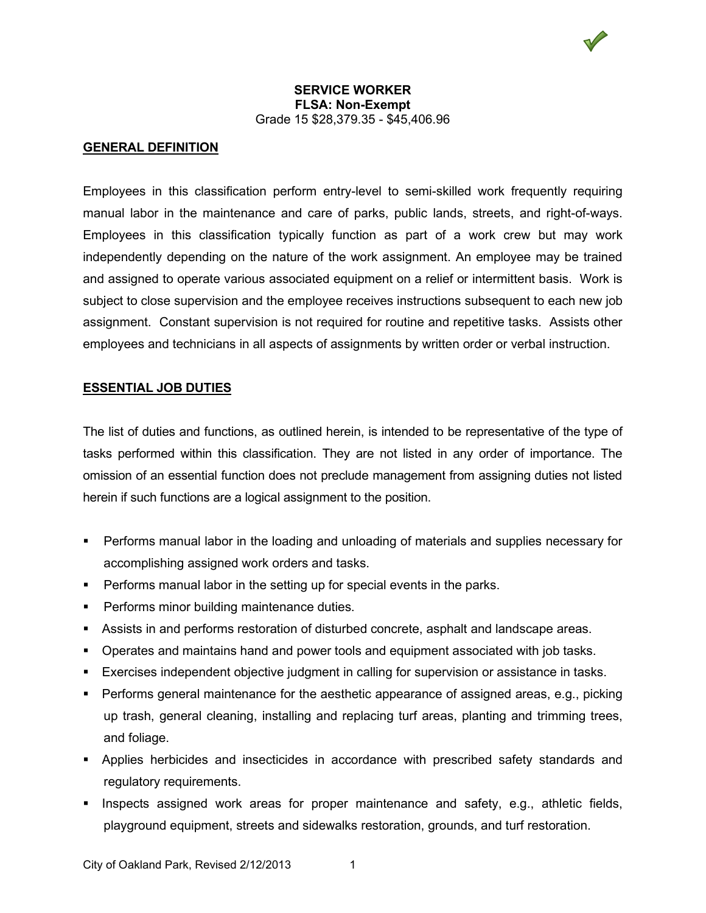

### **GENERAL DEFINITION**

Employees in this classification perform entry-level to semi-skilled work frequently requiring manual labor in the maintenance and care of parks, public lands, streets, and right-of-ways. Employees in this classification typically function as part of a work crew but may work independently depending on the nature of the work assignment. An employee may be trained and assigned to operate various associated equipment on a relief or intermittent basis. Work is subject to close supervision and the employee receives instructions subsequent to each new job assignment. Constant supervision is not required for routine and repetitive tasks. Assists other employees and technicians in all aspects of assignments by written order or verbal instruction.

### **ESSENTIAL JOB DUTIES**

The list of duties and functions, as outlined herein, is intended to be representative of the type of tasks performed within this classification. They are not listed in any order of importance. The omission of an essential function does not preclude management from assigning duties not listed herein if such functions are a logical assignment to the position.

- Performs manual labor in the loading and unloading of materials and supplies necessary for accomplishing assigned work orders and tasks.
- **Performs manual labor in the setting up for special events in the parks.**
- **Performs minor building maintenance duties.**
- Assists in and performs restoration of disturbed concrete, asphalt and landscape areas.
- **Dearates and maintains hand and power tools and equipment associated with job tasks.**
- Exercises independent objective judgment in calling for supervision or assistance in tasks.
- Performs general maintenance for the aesthetic appearance of assigned areas, e.g., picking up trash, general cleaning, installing and replacing turf areas, planting and trimming trees, and foliage.
- Applies herbicides and insecticides in accordance with prescribed safety standards and regulatory requirements.
- **Inspects assigned work areas for proper maintenance and safety, e.g., athletic fields,** playground equipment, streets and sidewalks restoration, grounds, and turf restoration.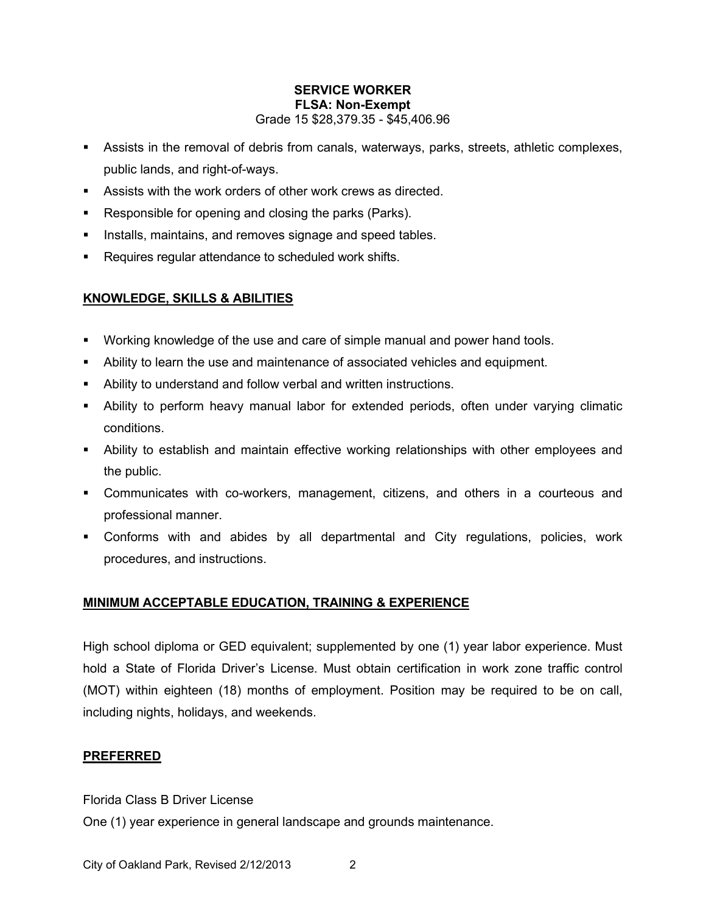- Assists in the removal of debris from canals, waterways, parks, streets, athletic complexes, public lands, and right-of-ways.
- Assists with the work orders of other work crews as directed.
- Responsible for opening and closing the parks (Parks).
- **Installs, maintains, and removes signage and speed tables.**
- **Requires regular attendance to scheduled work shifts.**

# **KNOWLEDGE, SKILLS & ABILITIES**

- Working knowledge of the use and care of simple manual and power hand tools.
- Ability to learn the use and maintenance of associated vehicles and equipment.
- Ability to understand and follow verbal and written instructions.
- Ability to perform heavy manual labor for extended periods, often under varying climatic conditions.
- Ability to establish and maintain effective working relationships with other employees and the public.
- Communicates with co-workers, management, citizens, and others in a courteous and professional manner.
- Conforms with and abides by all departmental and City regulations, policies, work procedures, and instructions.

# **MINIMUM ACCEPTABLE EDUCATION, TRAINING & EXPERIENCE**

High school diploma or GED equivalent; supplemented by one (1) year labor experience. Must hold a State of Florida Driver's License. Must obtain certification in work zone traffic control (MOT) within eighteen (18) months of employment. Position may be required to be on call, including nights, holidays, and weekends.

# **PREFERRED**

Florida Class B Driver License

One (1) year experience in general landscape and grounds maintenance.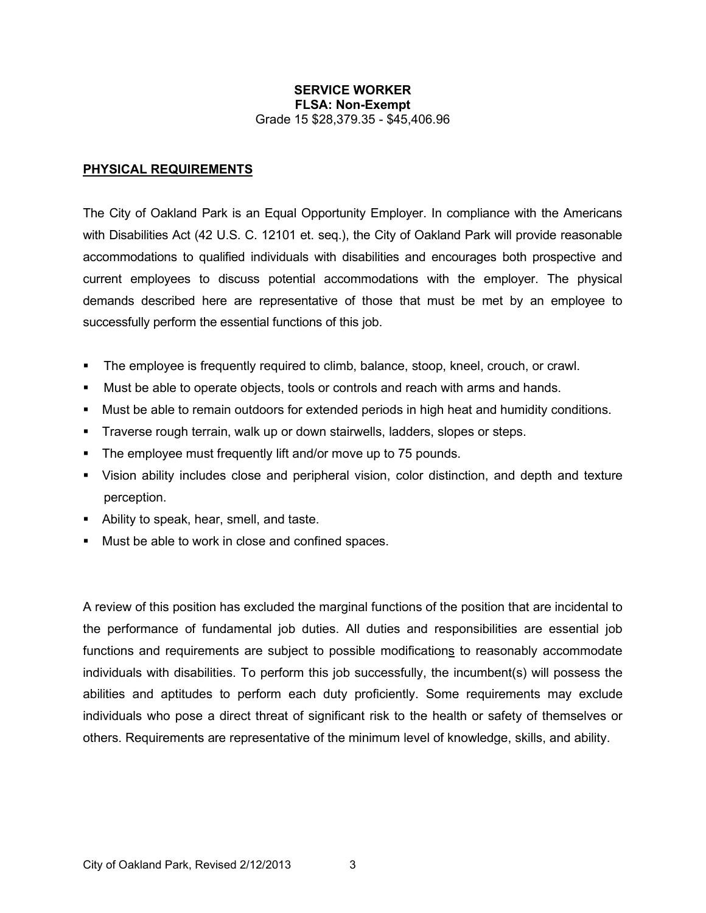#### **PHYSICAL REQUIREMENTS**

The City of Oakland Park is an Equal Opportunity Employer. In compliance with the Americans with Disabilities Act (42 U.S. C. 12101 et. seq.), the City of Oakland Park will provide reasonable accommodations to qualified individuals with disabilities and encourages both prospective and current employees to discuss potential accommodations with the employer. The physical demands described here are representative of those that must be met by an employee to successfully perform the essential functions of this job.

- The employee is frequently required to climb, balance, stoop, kneel, crouch, or crawl.
- Must be able to operate objects, tools or controls and reach with arms and hands.
- Must be able to remain outdoors for extended periods in high heat and humidity conditions.
- Traverse rough terrain, walk up or down stairwells, ladders, slopes or steps.
- The employee must frequently lift and/or move up to 75 pounds.
- Vision ability includes close and peripheral vision, color distinction, and depth and texture perception.
- **Ability to speak, hear, smell, and taste.**
- Must be able to work in close and confined spaces.

A review of this position has excluded the marginal functions of the position that are incidental to the performance of fundamental job duties. All duties and responsibilities are essential job functions and requirements are subject to possible modifications to reasonably accommodate individuals with disabilities. To perform this job successfully, the incumbent(s) will possess the abilities and aptitudes to perform each duty proficiently. Some requirements may exclude individuals who pose a direct threat of significant risk to the health or safety of themselves or others. Requirements are representative of the minimum level of knowledge, skills, and ability.